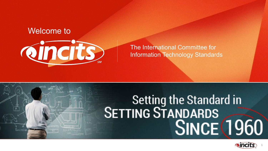### The International Committee for Information Technology Standards



# Setting the Standard in SINCE 1960





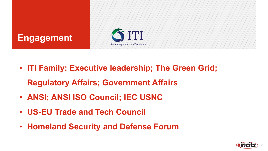- **ITI Family: Executive leadership; The Green Grid; Regulatory Affairs; Government Affairs**
- **ANSI; ANSI ISO Council; IEC USNC**
- **US-EU Trade and Tech Council**
- **Homeland Security and Defense Forum**





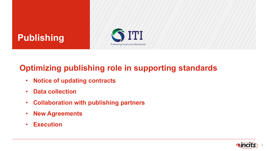### **Optimizing publishing role in supporting standards**

- **Notice of updating contracts**
- **Data collection**
- **Collaboration with publishing partners**
- **New Agreements**
- **Execution**



## **Publishing**

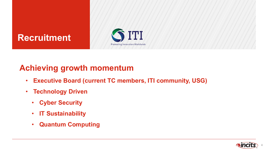### **Achieving growth momentum**

- **Executive Board (current TC members, ITI community, USG)**
- **Technology Driven**
	- **Cyber Security**
	- **IT Sustainability**
	- **Quantum Computing**





### **Recruitment**

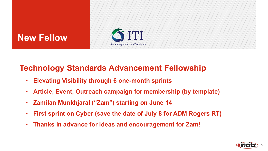### **Technology Standards Advancement Fellowship**

- **Elevating Visibility through 6 one-month sprints**
- **Article, Event, Outreach campaign for membership (by template)**
- **Zamilan Munkhjaral ("Zam") starting on June 14**
- **First sprint on Cyber (save the date of July 8 for ADM Rogers RT)**
- **Thanks in advance for ideas and encouragement for Zam!**





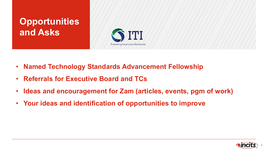- **Named Technology Standards Advancement Fellowship**
- **Referrals for Executive Board and TCs**
- **Ideas and encouragement for Zam (articles, events, pgm of work)**
- **Your ideas and identification of opportunities to improve**



### **Opportunities and Asks**

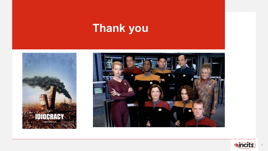# **Thank you**